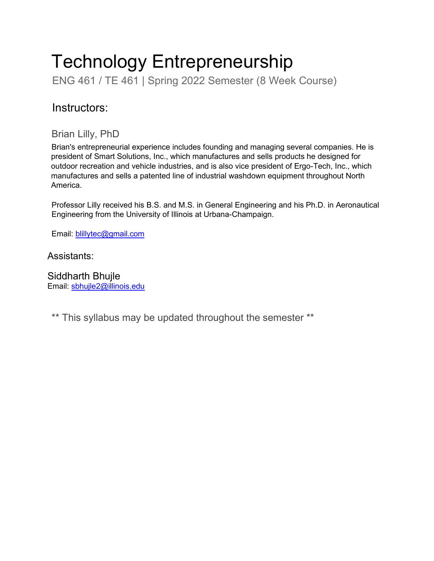# Technology Entrepreneurship

ENG 461 / TE 461 | Spring 2022 Semester (8 Week Course)

# Instructors:

## Brian Lilly, PhD

Brian's entrepreneurial experience includes founding and managing several companies. He is president of Smart Solutions, Inc., which manufactures and sells products he designed for outdoor recreation and vehicle industries, and is also vice president of Ergo-Tech, Inc., which manufactures and sells a patented line of industrial washdown equipment throughout North America.

Professor Lilly received his B.S. and M.S. in General Engineering and his Ph.D. in Aeronautical Engineering from the University of Illinois at Urbana-Champaign.

Email: [blillytec@gmail.com](mailto:blillytec@gmail.com)

Assistants:

Siddharth Bhujle Email: [sbhujle2@illinois.edu](mailto:sbhujle2@illinois.edu)

\*\* This syllabus may be updated throughout the semester \*\*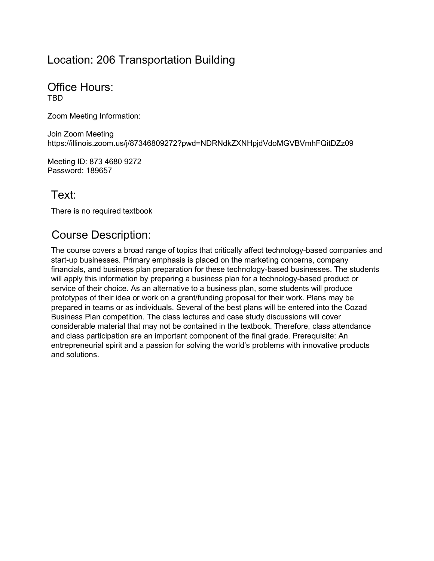## Location: 206 Transportation Building

Office Hours: TBD

Zoom Meeting Information:

Join Zoom Meeting https://illinois.zoom.us/j/87346809272?pwd=NDRNdkZXNHpjdVdoMGVBVmhFQitDZz09

Meeting ID: 873 4680 9272 Password: 189657

# Text:

There is no required textbook

# Course Description:

The course covers a broad range of topics that critically affect technology-based companies and start-up businesses. Primary emphasis is placed on the marketing concerns, company financials, and business plan preparation for these technology-based businesses. The students will apply this information by preparing a business plan for a technology-based product or service of their choice. As an alternative to a business plan, some students will produce prototypes of their idea or work on a grant/funding proposal for their work. Plans may be prepared in teams or as individuals. Several of the best plans will be entered into the Cozad Business Plan competition. The class lectures and case study discussions will cover considerable material that may not be contained in the textbook. Therefore, class attendance and class participation are an important component of the final grade. Prerequisite: An entrepreneurial spirit and a passion for solving the world's problems with innovative products and solutions.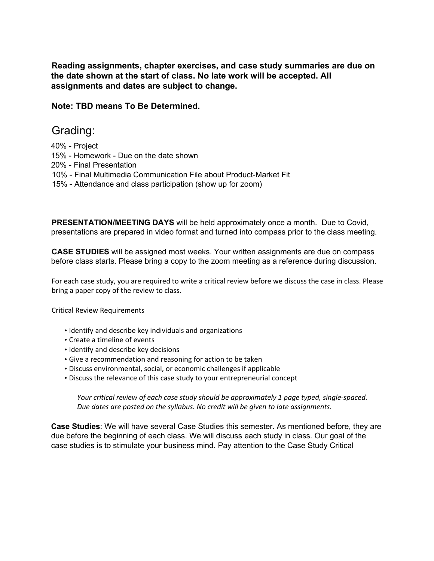**Reading assignments, chapter exercises, and case study summaries are due on the date shown at the start of class. No late work will be accepted. All assignments and dates are subject to change.**

**Note: TBD means To Be Determined.**

## Grading:

- 40% Project
- 15% Homework Due on the date shown
- 20% Final Presentation
- 10% Final Multimedia Communication File about Product-Market Fit
- 15% Attendance and class participation (show up for zoom)

**PRESENTATION/MEETING DAYS** will be held approximately once a month. Due to Covid, presentations are prepared in video format and turned into compass prior to the class meeting.

**CASE STUDIES** will be assigned most weeks. Your written assignments are due on compass before class starts. Please bring a copy to the zoom meeting as a reference during discussion.

For each case study, you are required to write a critical review before we discuss the case in class. Please bring a paper copy of the review to class.

Critical Review Requirements

- Identify and describe key individuals and organizations
- Create a timeline of events
- Identify and describe key decisions
- Give a recommendation and reasoning for action to be taken
- Discuss environmental, social, or economic challenges if applicable
- Discuss the relevance of this case study to your entrepreneurial concept

*Your critical review of each case study should be approximately 1 page typed, single-spaced. Due dates are posted on the syllabus. No credit will be given to late assignments.*

**Case Studies**: We will have several Case Studies this semester. As mentioned before, they are due before the beginning of each class. We will discuss each study in class. Our goal of the case studies is to stimulate your business mind. Pay attention to the Case Study Critical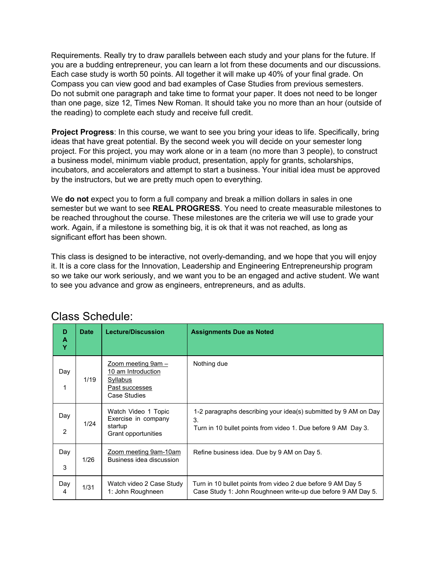Requirements. Really try to draw parallels between each study and your plans for the future. If you are a budding entrepreneur, you can learn a lot from these documents and our discussions. Each case study is worth 50 points. All together it will make up 40% of your final grade. On Compass you can view good and bad examples of Case Studies from previous semesters. Do not submit one paragraph and take time to format your paper. It does not need to be longer than one page, size 12, Times New Roman. It should take you no more than an hour (outside of the reading) to complete each study and receive full credit.

**Project Progress**: In this course, we want to see you bring your ideas to life. Specifically, bring ideas that have great potential. By the second week you will decide on your semester long project. For this project, you may work alone or in a team (no more than 3 people), to construct a business model, minimum viable product, presentation, apply for grants, scholarships, incubators, and accelerators and attempt to start a business. Your initial idea must be approved by the instructors, but we are pretty much open to everything.

We **do not** expect you to form a full company and break a million dollars in sales in one semester but we want to see **REAL PROGRESS**. You need to create measurable milestones to be reached throughout the course. These milestones are the criteria we will use to grade your work. Again, if a milestone is something big, it is ok that it was not reached, as long as significant effort has been shown.

This class is designed to be interactive, not overly-demanding, and we hope that you will enjoy it. It is a core class for the Innovation, Leadership and Engineering Entrepreneurship program so we take our work seriously, and we want you to be an engaged and active student. We want to see you advance and grow as engineers, entrepreneurs, and as adults.

| D<br>A<br>Y | Date | <b>Lecture/Discussion</b>                                                                       | <b>Assignments Due as Noted</b>                                                                                                        |
|-------------|------|-------------------------------------------------------------------------------------------------|----------------------------------------------------------------------------------------------------------------------------------------|
| Day<br>1    | 1/19 | <u> Zoom meeting 9am – </u><br>10 am Introduction<br>Syllabus<br>Past successes<br>Case Studies | Nothing due                                                                                                                            |
| Day<br>2    | 1/24 | Watch Video 1 Topic<br>Exercise in company<br>startup<br>Grant opportunities                    | 1-2 paragraphs describing your idea(s) submitted by 9 AM on Day<br>3.<br>Turn in 10 bullet points from video 1. Due before 9 AM Day 3. |
| Day<br>3    | 1/26 | Zoom meeting 9am-10am<br>Business idea discussion                                               | Refine business idea. Due by 9 AM on Day 5.                                                                                            |
| Day<br>4    | 1/31 | Watch video 2 Case Study<br>1: John Roughneen                                                   | Turn in 10 bullet points from video 2 due before 9 AM Day 5<br>Case Study 1: John Roughneen write-up due before 9 AM Day 5.            |

## Class Schedule: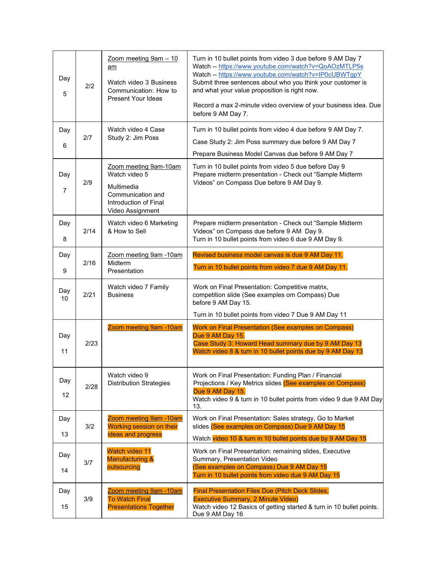| Day<br>5              | 2/2  | Zoom meeting 9am - 10<br>am<br>Watch video 3 Business<br>Communication: How to<br><b>Present Your Ideas</b>            | Turn in 10 bullet points from video 3 due before 9 AM Day 7<br>Watch -- https://www.youtube.com/watch?v=QoAOzMTLP5s<br>Watch -- https://www.youtube.com/watch?v=IP0cUBWTgpY<br>Submit three sentences about who you think your customer is<br>and what your value proposition is right now.<br>Record a max 2-minute video overview of your business idea. Due<br>before 9 AM Day 7. |
|-----------------------|------|------------------------------------------------------------------------------------------------------------------------|--------------------------------------------------------------------------------------------------------------------------------------------------------------------------------------------------------------------------------------------------------------------------------------------------------------------------------------------------------------------------------------|
| Day                   |      | Watch video 4 Case                                                                                                     | Turn in 10 bullet points from video 4 due before 9 AM Day 7.                                                                                                                                                                                                                                                                                                                         |
| 6                     | 2/7  | Study 2: Jim Poss                                                                                                      | Case Study 2: Jim Poss summary due before 9 AM Day 7                                                                                                                                                                                                                                                                                                                                 |
|                       |      |                                                                                                                        | Prepare Business Model Canvas due before 9 AM Day 7                                                                                                                                                                                                                                                                                                                                  |
| Day<br>$\overline{7}$ | 2/9  | Zoom meeting 9am-10am<br>Watch video 5<br>Multimedia<br>Communication and<br>Introduction of Final<br>Video Assignment | Turn in 10 bullet points from video 5 due before Day 9<br>Prepare midterm presentation - Check out "Sample Midterm<br>Videos" on Compass Due before 9 AM Day 9.                                                                                                                                                                                                                      |
| Day<br>8              | 2/14 | Watch video 6 Marketing<br>& How to Sell                                                                               | Prepare midterm presentation - Check out "Sample Midterm<br>Videos" on Compass due before 9 AM Day 9.<br>Turn in 10 bullet points from video 6 due 9 AM Day 9.                                                                                                                                                                                                                       |
|                       |      |                                                                                                                        |                                                                                                                                                                                                                                                                                                                                                                                      |
| Day                   | 2/16 | Zoom meeting 9am -10am<br>Midterm                                                                                      | Revised business model canvas is due 9 AM Day 11.<br>Turn in 10 bullet points from video 7 due 9 AM Day 11.                                                                                                                                                                                                                                                                          |
| 9                     |      | Presentation                                                                                                           |                                                                                                                                                                                                                                                                                                                                                                                      |
| Day<br>10             | 2/21 | Watch video 7 Family<br><b>Business</b>                                                                                | Work on Final Presentation: Competitive matrix,<br>competition slide (See examples om Compass) Due<br>before 9 AM Day 15.                                                                                                                                                                                                                                                            |
|                       |      |                                                                                                                        | Turn in 10 bullet points from video 7 Due 9 AM Day 11                                                                                                                                                                                                                                                                                                                                |
| Day<br>11             | 2/23 | Zoom meeting 9am -10am                                                                                                 | Work on Final Presentation (See examples on Compass)<br>Due 9 AM Day 15.<br>Case Study 3: Howard Head summary due by 9 AM Day 13<br>Watch video 8 & turn in 10 bullet points due by 9 AM Day 13                                                                                                                                                                                      |
|                       |      |                                                                                                                        |                                                                                                                                                                                                                                                                                                                                                                                      |
| Day<br>12             | 2/28 | Watch video 9<br><b>Distribution Strategies</b>                                                                        | Work on Final Presentation: Funding Plan / Financial<br>Projections / Key Metrics slides (See examples on Compass)<br>Due 9 AM Day 15.<br>Watch video 9 & turn in 10 bullet points from video 9 due 9 AM Day<br>13.                                                                                                                                                                  |
| Day                   | 3/2  | <u>Zoom meeting 9am -10am</u><br>Working session on their                                                              | Work on Final Presentation: Sales strategy, Go to Market<br>slides (See examples on Compass) Due 9 AM Day 15                                                                                                                                                                                                                                                                         |
| 13                    |      | ideas and progress                                                                                                     | Watch video 10 & turn in 10 bullet points due by 9 AM Day 15                                                                                                                                                                                                                                                                                                                         |
| Day                   |      | Watch video 11<br><b>Manufacturing &amp;</b>                                                                           | Work on Final Presentation: remaining slides, Executive                                                                                                                                                                                                                                                                                                                              |
| 14                    | 3/7  | outsourcing                                                                                                            | Summary, Presentation Video<br>(See examples on Compass) Due 9 AM Day 15<br>Turn in 10 bullet points from video due 9 AM Day 15                                                                                                                                                                                                                                                      |
| Day                   | 3/9  | Zoom meeting 9am -10am<br><b>To Watch Final</b>                                                                        | <b>Final Presentation Files Due (Pitch Deck Slides,</b><br><b>Executive Summary, 2 Minute Video)</b>                                                                                                                                                                                                                                                                                 |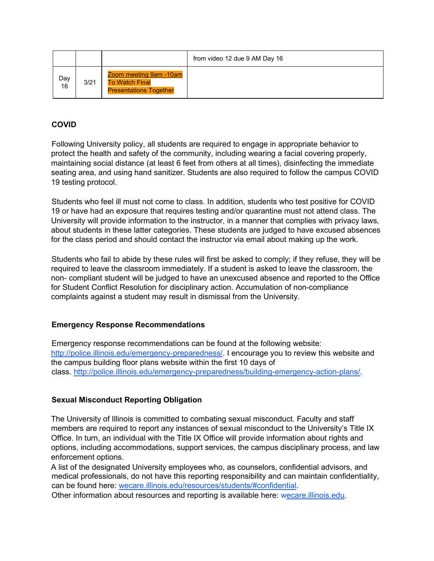|           |      |                                                                                         | from video 12 due 9 AM Day 16 |
|-----------|------|-----------------------------------------------------------------------------------------|-------------------------------|
| Day<br>16 | 3/21 | <b>Zoom meeting 9am -10am</b><br><b>To Watch Final</b><br><b>Presentations Together</b> |                               |

## **COVID**

Following University policy, all students are required to engage in appropriate behavior to protect the health and safety of the community, including wearing a facial covering properly, maintaining social distance (at least 6 feet from others at all times), disinfecting the immediate seating area, and using hand sanitizer. Students are also required to follow the campus COVID 19 testing protocol.

Students who feel ill must not come to class. In addition, students who test positive for COVID 19 or have had an exposure that requires testing and/or quarantine must not attend class. The University will provide information to the instructor, in a manner that complies with privacy laws, about students in these latter categories. These students are judged to have excused absences for the class period and should contact the instructor via email about making up the work.

Students who fail to abide by these rules will first be asked to comply; if they refuse, they will be required to leave the classroom immediately. If a student is asked to leave the classroom, the non- compliant student will be judged to have an unexcused absence and reported to the Office for Student Conflict Resolution for disciplinary action. Accumulation of non-compliance complaints against a student may result in dismissal from the University.

## **Emergency Response Recommendations**

Emergency response recommendations can be found at the following website: [http://police.illinois.edu/emergency-preparedness/. I](http://police.illinois.edu/emergency-preparedness/) encourage you to review this website and the campus building floor plans website within the first 10 days of class. [http://police.illinois.edu/emergency-preparedness/building-emergency-action-plans/.](http://police.illinois.edu/emergency-preparedness/building-emergency-action-plans/)

## **Sexual Misconduct Reporting Obligation**

The University of Illinois is committed to combating sexual misconduct. Faculty and staff members are required to report any instances of sexual misconduct to the University's Title IX Office. In turn, an individual with the Title IX Office will provide information about rights and options, including accommodations, support services, the campus disciplinary process, and law enforcement options.

A list of the designated University employees who, as counselors, confidential advisors, and medical professionals, do not have this reporting responsibility and can maintain confidentiality, can be found here: wecare.illinois.edu/resources/students/#confidential.

Other information about resources and reporting is available here: wecare.illinois.edu.